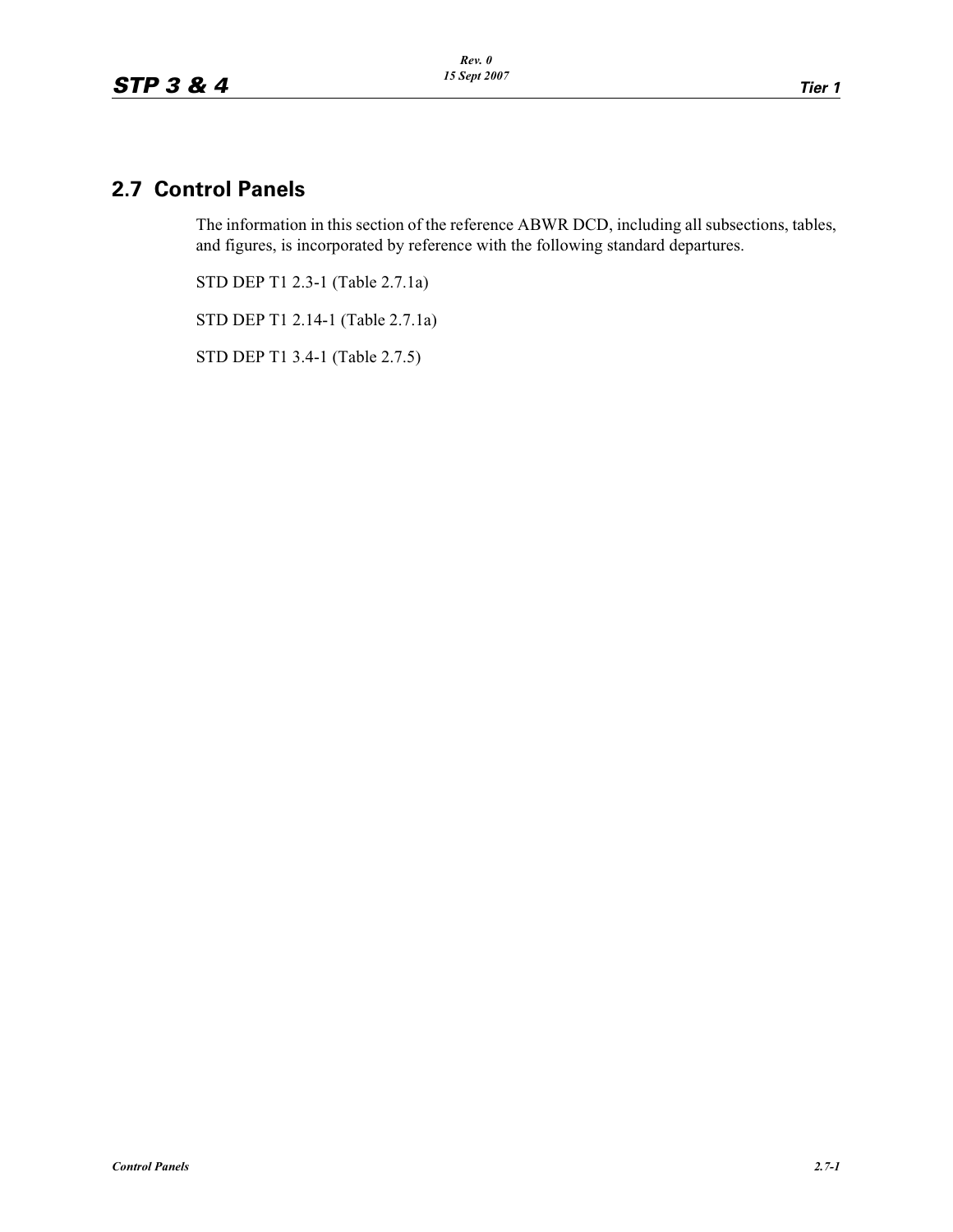# **2.7 Control Panels**

The information in this section of the reference ABWR DCD, including all subsections, tables, and figures, is incorporated by reference with the following standard departures.

STD DEP T1 2.3-1 (Table 2.7.1a)

STD DEP T1 2.14-1 (Table 2.7.1a)

STD DEP T1 3.4-1 (Table 2.7.5)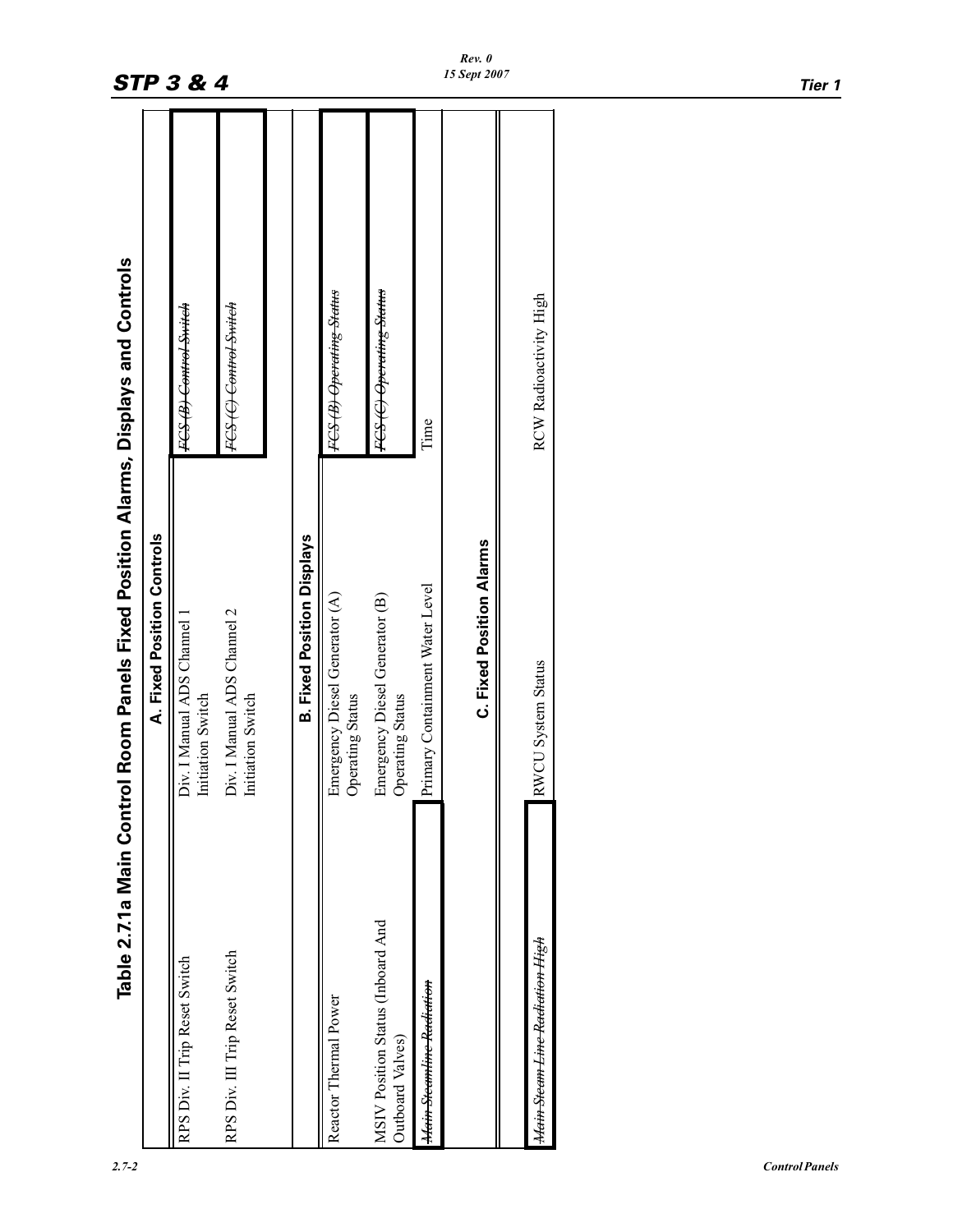|                                                                                    |                            | <b>STP 3 &amp; 4</b>                                  |                                                  |                                   |                                                    |                                                       |                                     | 15 Sept 2007                    |                                           | Tier 1 |
|------------------------------------------------------------------------------------|----------------------------|-------------------------------------------------------|--------------------------------------------------|-----------------------------------|----------------------------------------------------|-------------------------------------------------------|-------------------------------------|---------------------------------|-------------------------------------------|--------|
|                                                                                    |                            | FCS (B) Control Switch                                | FCS (C) Control Switch                           |                                   | FCS (B) Operating Status                           | FCS (C) Operating Status                              | Time                                |                                 | RCW Radioactivity High                    |        |
| Table 2.7.1a Main Control Room Panels Fixed Position Alarms, Displays and Controls | A. Fixed Position Controls | I Manual ADS Channel 1<br>Initiation Switch<br>Div. I | Div. I Manual ADS Channel 2<br>Initiation Switch | <b>B. Fixed Position Displays</b> | Emergency Diesel Generator (A)<br>Operating Status | Emergency Diesel Generator (B)<br>Operating Status    | Primary Containment Water Level     | <b>C. Fixed Position Alarms</b> | RWCU System Status                        |        |
|                                                                                    |                            | RPS Div. II Trip Reset Switch                         | RPS Div. III Trip Reset Switch                   |                                   | Reactor Thermal Power                              | MSIV Position Status (Inboard And<br>Outboard Valves) | <del>Main Steamline Radiation</del> |                                 | <del>Main Steam Line Radiation High</del> |        |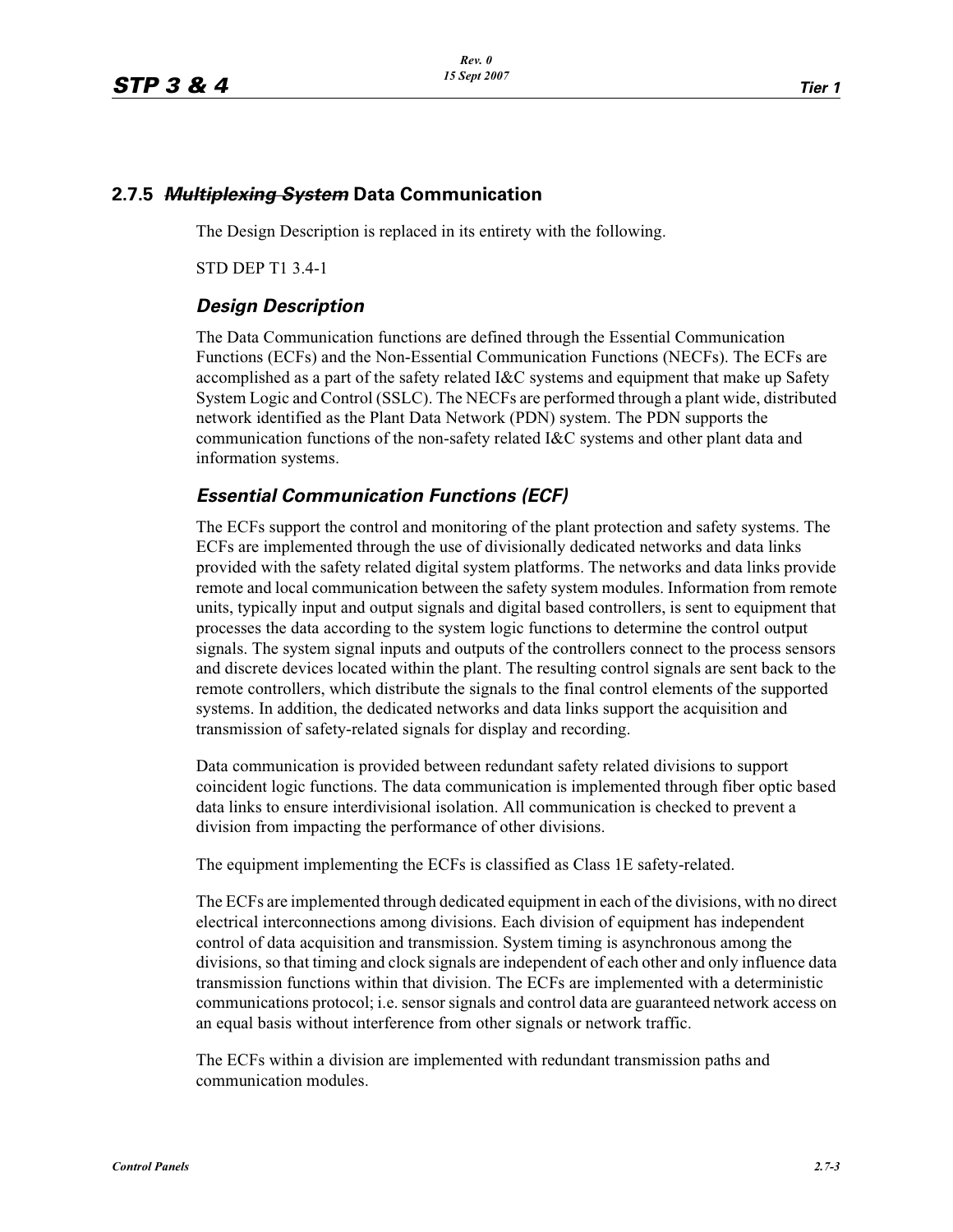#### **2.7.5** *Multiplexing System* **Data Communication**

The Design Description is replaced in its entirety with the following.

STD DEP T1 3.4-1

#### *Design Description*

The Data Communication functions are defined through the Essential Communication Functions (ECFs) and the Non-Essential Communication Functions (NECFs). The ECFs are accomplished as a part of the safety related I&C systems and equipment that make up Safety System Logic and Control (SSLC). The NECFs are performed through a plant wide, distributed network identified as the Plant Data Network (PDN) system. The PDN supports the communication functions of the non-safety related I&C systems and other plant data and information systems.

### *Essential Communication Functions (ECF)*

The ECFs support the control and monitoring of the plant protection and safety systems. The ECFs are implemented through the use of divisionally dedicated networks and data links provided with the safety related digital system platforms. The networks and data links provide remote and local communication between the safety system modules. Information from remote units, typically input and output signals and digital based controllers, is sent to equipment that processes the data according to the system logic functions to determine the control output signals. The system signal inputs and outputs of the controllers connect to the process sensors and discrete devices located within the plant. The resulting control signals are sent back to the remote controllers, which distribute the signals to the final control elements of the supported systems. In addition, the dedicated networks and data links support the acquisition and transmission of safety-related signals for display and recording.

Data communication is provided between redundant safety related divisions to support coincident logic functions. The data communication is implemented through fiber optic based data links to ensure interdivisional isolation. All communication is checked to prevent a division from impacting the performance of other divisions.

The equipment implementing the ECFs is classified as Class 1E safety-related.

The ECFs are implemented through dedicated equipment in each of the divisions, with no direct electrical interconnections among divisions. Each division of equipment has independent control of data acquisition and transmission. System timing is asynchronous among the divisions, so that timing and clock signals are independent of each other and only influence data transmission functions within that division. The ECFs are implemented with a deterministic communications protocol; i.e. sensor signals and control data are guaranteed network access on an equal basis without interference from other signals or network traffic.

The ECFs within a division are implemented with redundant transmission paths and communication modules.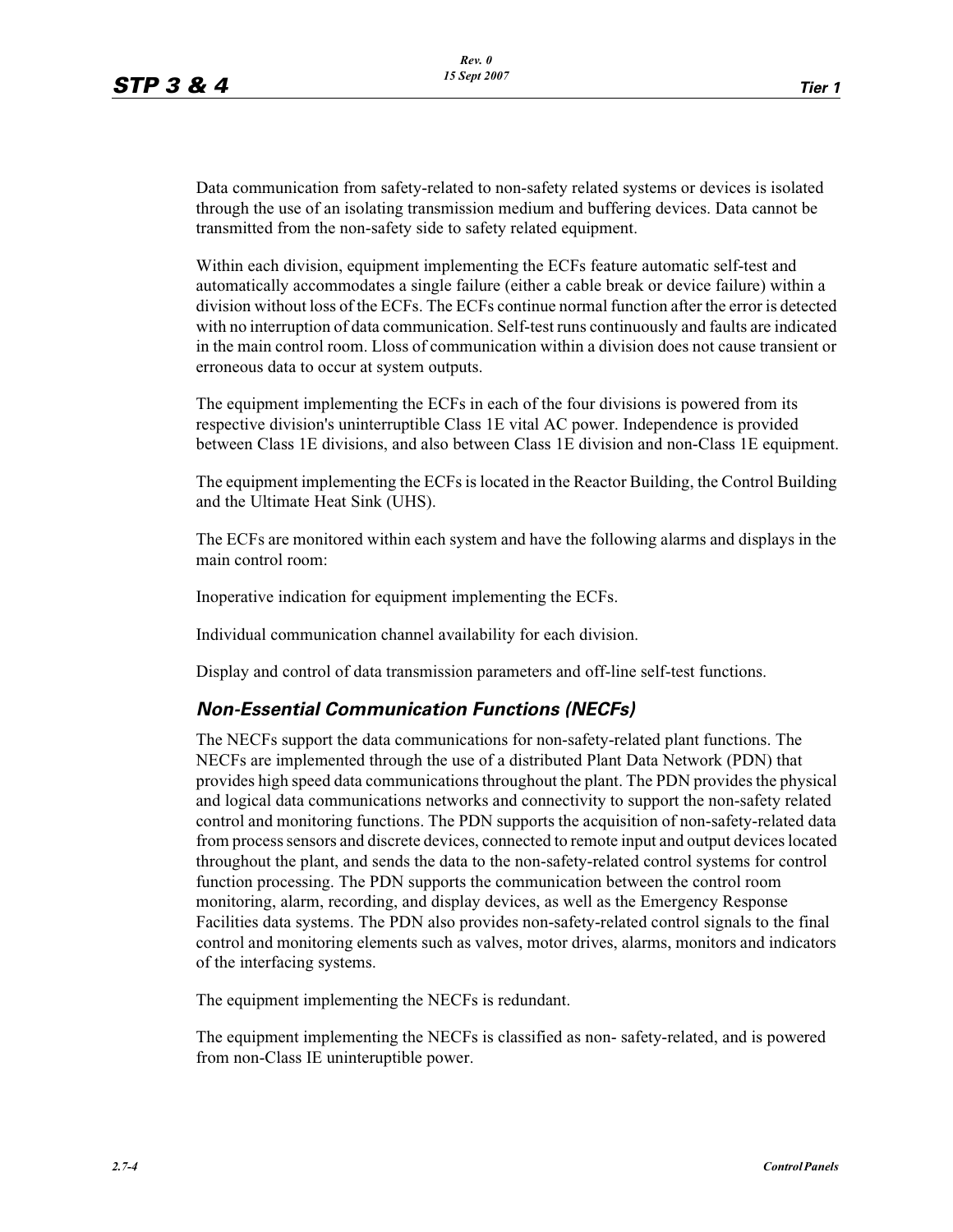Data communication from safety-related to non-safety related systems or devices is isolated through the use of an isolating transmission medium and buffering devices. Data cannot be transmitted from the non-safety side to safety related equipment.

Within each division, equipment implementing the ECFs feature automatic self-test and automatically accommodates a single failure (either a cable break or device failure) within a division without loss of the ECFs. The ECFs continue normal function after the error is detected with no interruption of data communication. Self-test runs continuously and faults are indicated in the main control room. Lloss of communication within a division does not cause transient or erroneous data to occur at system outputs.

The equipment implementing the ECFs in each of the four divisions is powered from its respective division's uninterruptible Class 1E vital AC power. Independence is provided between Class 1E divisions, and also between Class 1E division and non-Class 1E equipment.

The equipment implementing the ECFs is located in the Reactor Building, the Control Building and the Ultimate Heat Sink (UHS).

The ECFs are monitored within each system and have the following alarms and displays in the main control room:

Inoperative indication for equipment implementing the ECFs.

Individual communication channel availability for each division.

Display and control of data transmission parameters and off-line self-test functions.

#### *Non-Essential Communication Functions (NECFs)*

The NECFs support the data communications for non-safety-related plant functions. The NECFs are implemented through the use of a distributed Plant Data Network (PDN) that provides high speed data communications throughout the plant. The PDN provides the physical and logical data communications networks and connectivity to support the non-safety related control and monitoring functions. The PDN supports the acquisition of non-safety-related data from process sensors and discrete devices, connected to remote input and output devices located throughout the plant, and sends the data to the non-safety-related control systems for control function processing. The PDN supports the communication between the control room monitoring, alarm, recording, and display devices, as well as the Emergency Response Facilities data systems. The PDN also provides non-safety-related control signals to the final control and monitoring elements such as valves, motor drives, alarms, monitors and indicators of the interfacing systems.

The equipment implementing the NECFs is redundant.

The equipment implementing the NECFs is classified as non- safety-related, and is powered from non-Class IE uninteruptible power.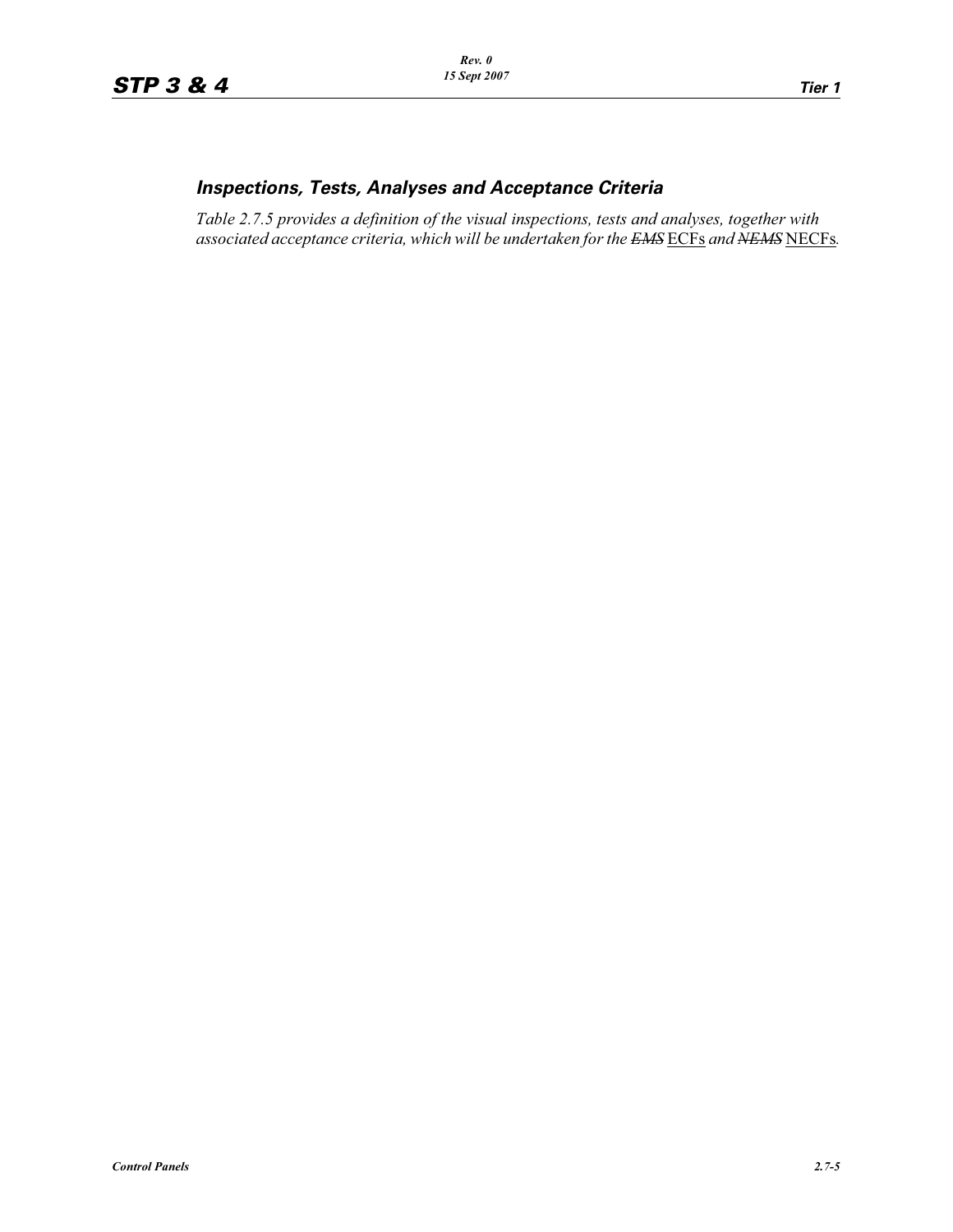## *Inspections, Tests, Analyses and Acceptance Criteria*

*Table 2.7.5 provides a definition of the visual inspections, tests and analyses, together with associated acceptance criteria, which will be undertaken for the EMS* ECFs *and NEMS* NECFs*.*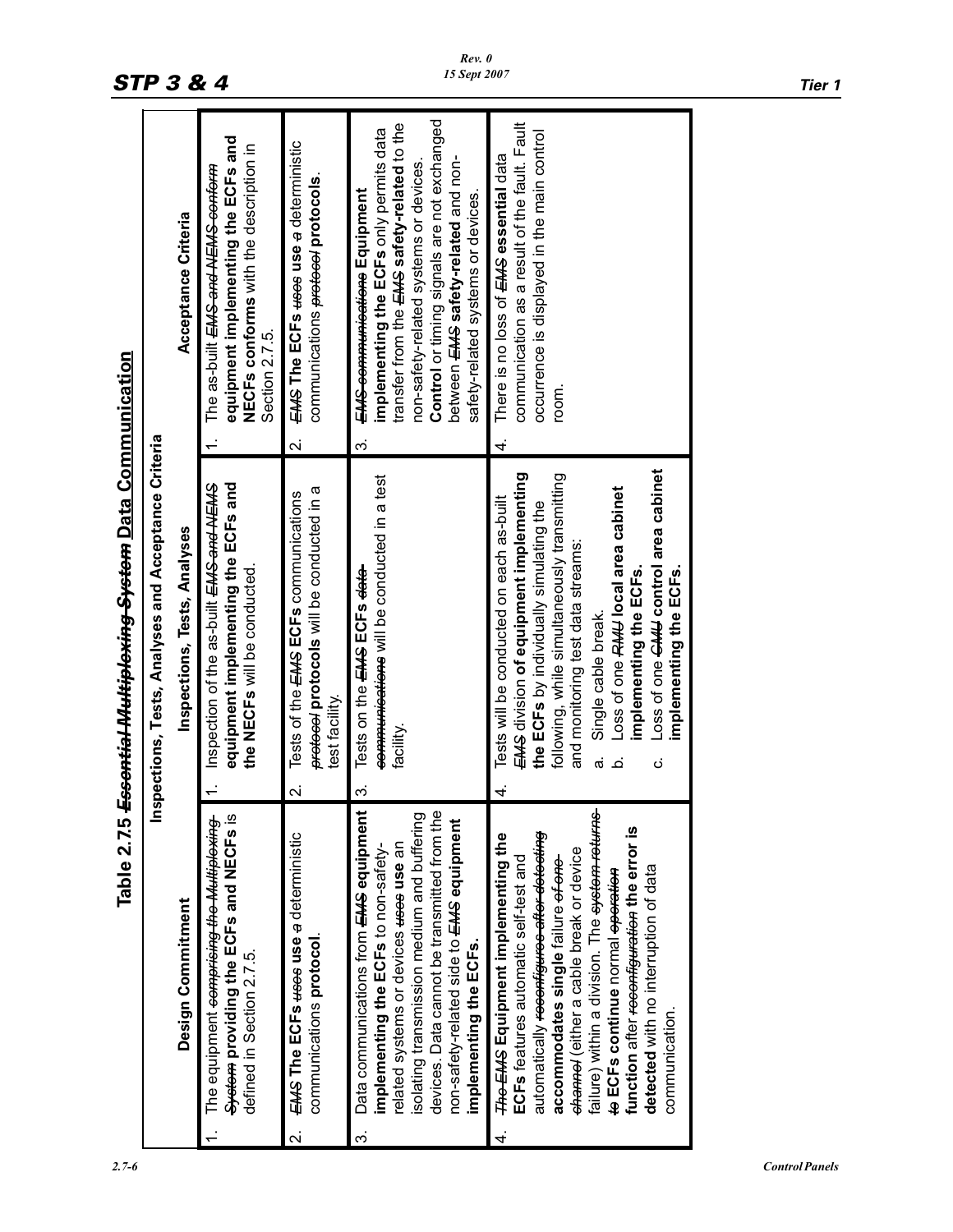|                                                             |                                                      | Acceptance Criteria          | equipment implementing the ECFs and<br>NECFs conforms with the description in<br>The as-built <del>EMS and NEMS conform</del><br>Section 2.7.5. | EMS The ECFs weee use a deterministic<br>communications exereced protocols<br>$\overline{\mathbf{a}}$                 | Control or timing signals are not exchanged<br>transfer from the EMS safety-related to the<br>implementing the ECFs only permits data<br>between EMS safety-related and non-<br>non-safety-related systems or devices.<br><del>EMS communications</del> Equipment<br>safety-related systems or devices.<br>က် | communication as a result of the fault. Fault<br>occurrence is displayed in the main control<br>There is no loss of EMS essential data<br>room.<br>4.                                                                                                                                                                                                                                                                                                                     |
|-------------------------------------------------------------|------------------------------------------------------|------------------------------|-------------------------------------------------------------------------------------------------------------------------------------------------|-----------------------------------------------------------------------------------------------------------------------|---------------------------------------------------------------------------------------------------------------------------------------------------------------------------------------------------------------------------------------------------------------------------------------------------------------|---------------------------------------------------------------------------------------------------------------------------------------------------------------------------------------------------------------------------------------------------------------------------------------------------------------------------------------------------------------------------------------------------------------------------------------------------------------------------|
| <del>Essential Multiplexing System</del> Data Communication | Inspections, Tests, Analyses and Acceptance Criteria | Inspections, Tests, Analyses | Inspection of the as-built EMS and NEMS<br>equipment implementing the ECFs and<br>the NECFs will be conducted.                                  | protocols will be conducted in a<br>Tests of the EMS ECFs communications<br>test facility.<br>$\overline{\mathbf{v}}$ | communications will be conducted in a test<br>Tests on the EMS ECFs data<br>facility.<br>က်                                                                                                                                                                                                                   | Loss of one CHH control area cabinet<br>EMS division of equipment implementing<br>following, while simultaneously transmitting<br>Loss of one RMU local area cabinet<br>Tests will be conducted on each as-built<br>the ECFs by individually simulating the<br>and monitoring test data streams:<br>implementing the ECFs.<br>implementing the ECFs.<br>Single cable break.<br>$\dot{\sigma}$<br>ن<br>م<br>4                                                              |
| Table 2.7.5 4                                               |                                                      | Design Commitment            | System providing the ECFs and NECFs is<br>The equipment <del>comprising the Multiplexing</del><br>defined in Section 2.7.5.                     | EMS The ECFs weee use a deterministic<br>communications protocol.                                                     | Data communications from EMS equipment<br>devices. Data cannot be transmitted from the<br>isolating transmission medium and buffering<br>non-safety-related side to EMS equipment<br>related systems or devices <del>uses</del> use an<br>implementing the ECFs to non-safety-<br>implementing the ECFs.<br>က | failure) within a division. The <del>system returns</del><br>function after <del>reconfiguration</del> the error is<br>automatically <del>reconfigures after detecting</del><br><b>The EMS Equipment implementing the</b><br><del>channel</del> (either a cable break or device<br>ECFs features automatic self-test and<br>accommodates single failure <del>of one</del><br>detected with no interruption of data<br>te ECFs continue normal eperation<br>communication. |

п